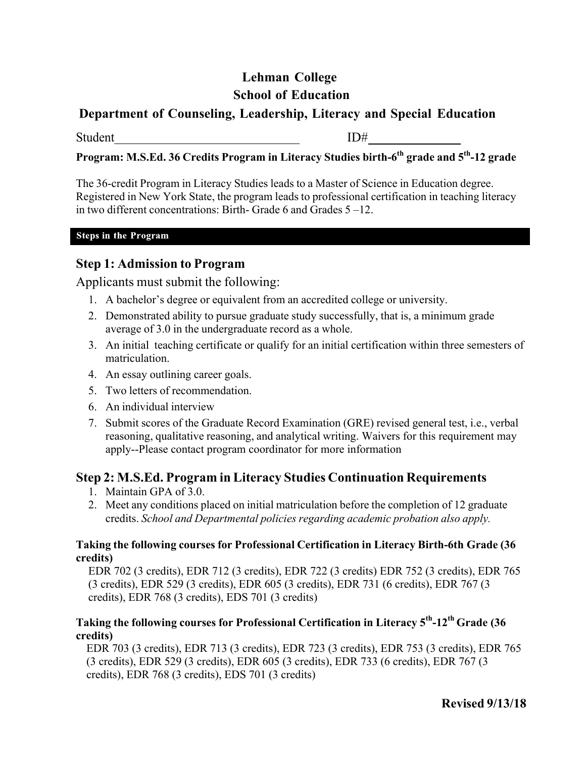# **Lehman College School of Education**

## **Department of Counseling, Leadership, Literacy and Special Education**

Student ID#

# **Program: M.S.Ed. 36 Credits Program in Literacy Studies birth-6th grade and 5th-12 grade**

The 36-credit Program in Literacy Studies leads to a Master of Science in Education degree. Registered in New York State, the program leads to professional certification in teaching literacy in two different concentrations: Birth- Grade 6 and Grades 5 –12.

#### **Steps in the Program**

### **Step 1: Admission to Program**

Applicants must submit the following:

- 1. A bachelor's degree or equivalent from an accredited college or university.
- 2. Demonstrated ability to pursue graduate study successfully, that is, a minimum grade average of 3.0 in the undergraduate record as a whole.
- 3. An initial teaching certificate or qualify for an initial certification within three semesters of matriculation.
- 4. An essay outlining career goals.
- 5. Two letters of recommendation.
- 6. An individual interview
- 7. Submit scores of the Graduate Record Examination (GRE) revised general test, i.e., verbal reasoning, qualitative reasoning, and analytical writing. Waivers for this requirement may apply--Please contact program coordinator for more information

### **Step 2: M.S.Ed. Program in Literacy Studies Continuation Requirements**

- 1. Maintain GPA of 3.0.
- 2. Meet any conditions placed on initial matriculation before the completion of 12 graduate credits. *School and Departmental policies regarding academic probation also apply.*

#### **Taking the following courses for Professional Certification in Literacy Birth-6th Grade (36 credits)**

EDR 702 (3 credits), EDR 712 (3 credits), EDR 722 (3 credits) EDR 752 (3 credits), EDR 765 (3 credits), EDR 529 (3 credits), EDR 605 (3 credits), EDR 731 (6 credits), EDR 767 (3 credits), EDR 768 (3 credits), EDS 701 (3 credits)

#### **Taking the following courses for Professional Certification in Literacy 5th-12th Grade (36 credits)**

EDR 703 (3 credits), EDR 713 (3 credits), EDR 723 (3 credits), EDR 753 (3 credits), EDR 765 (3 credits), EDR 529 (3 credits), EDR 605 (3 credits), EDR 733 (6 credits), EDR 767 (3 credits), EDR 768 (3 credits), EDS 701 (3 credits)